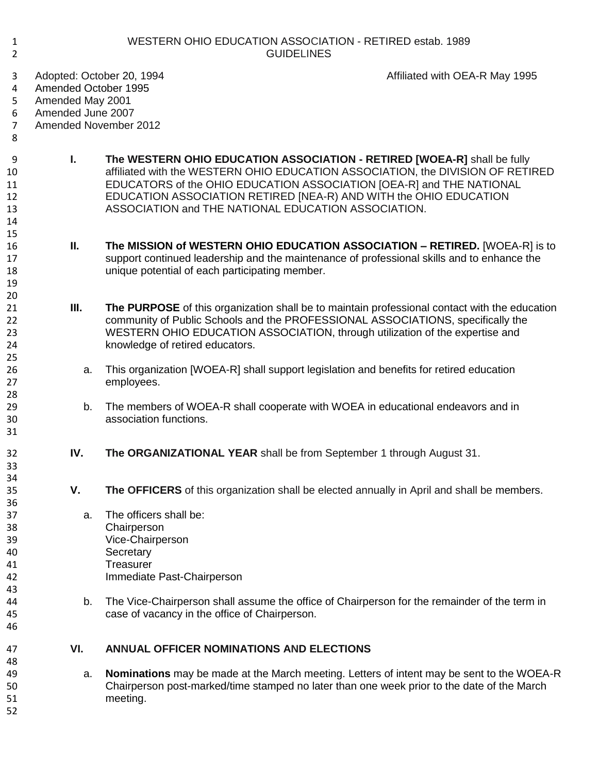| 1<br>$\overline{2}$                                                                                                                                            | <b>WESTERN OHIO EDUCATION ASSOCIATION - RETIRED estab. 1989</b><br><b>GUIDELINES</b> |                                                                                                                   |                                                                                                                                                                                                                                                                                                          |  |  |
|----------------------------------------------------------------------------------------------------------------------------------------------------------------|--------------------------------------------------------------------------------------|-------------------------------------------------------------------------------------------------------------------|----------------------------------------------------------------------------------------------------------------------------------------------------------------------------------------------------------------------------------------------------------------------------------------------------------|--|--|
| Adopted: October 20, 1994<br>3<br>Amended October 1995<br>4<br>5<br>Amended May 2001<br>Amended June 2007<br>6<br>Amended November 2012<br>$\overline{7}$<br>8 |                                                                                      |                                                                                                                   | Affiliated with OEA-R May 1995                                                                                                                                                                                                                                                                           |  |  |
| 9<br>10<br>11<br>12<br>13<br>14<br>15                                                                                                                          | L.                                                                                   | ASSOCIATION and THE NATIONAL EDUCATION ASSOCIATION.                                                               | The WESTERN OHIO EDUCATION ASSOCIATION - RETIRED [WOEA-R] shall be fully<br>affiliated with the WESTERN OHIO EDUCATION ASSOCIATION, the DIVISION OF RETIRED<br>EDUCATORS of the OHIO EDUCATION ASSOCIATION [OEA-R] and THE NATIONAL<br>EDUCATION ASSOCIATION RETIRED [NEA-R) AND WITH the OHIO EDUCATION |  |  |
| 16<br>17<br>18<br>19<br>20                                                                                                                                     | Ш.                                                                                   | unique potential of each participating member.                                                                    | The MISSION of WESTERN OHIO EDUCATION ASSOCIATION - RETIRED. [WOEA-R] is to<br>support continued leadership and the maintenance of professional skills and to enhance the                                                                                                                                |  |  |
| 21<br>22<br>23<br>24<br>25                                                                                                                                     | Ш.                                                                                   | knowledge of retired educators.                                                                                   | The PURPOSE of this organization shall be to maintain professional contact with the education<br>community of Public Schools and the PROFESSIONAL ASSOCIATIONS, specifically the<br>WESTERN OHIO EDUCATION ASSOCIATION, through utilization of the expertise and                                         |  |  |
| 26<br>27<br>28                                                                                                                                                 | a.                                                                                   | employees.                                                                                                        | This organization [WOEA-R] shall support legislation and benefits for retired education                                                                                                                                                                                                                  |  |  |
| 29<br>30<br>31                                                                                                                                                 | b.                                                                                   | association functions.                                                                                            | The members of WOEA-R shall cooperate with WOEA in educational endeavors and in                                                                                                                                                                                                                          |  |  |
| 32<br>33<br>34                                                                                                                                                 | IV.                                                                                  | The ORGANIZATIONAL YEAR shall be from September 1 through August 31.                                              |                                                                                                                                                                                                                                                                                                          |  |  |
| 35<br>36                                                                                                                                                       | V.                                                                                   |                                                                                                                   | The OFFICERS of this organization shall be elected annually in April and shall be members.                                                                                                                                                                                                               |  |  |
| 37<br>38<br>39<br>40<br>41<br>42<br>43                                                                                                                         | a.                                                                                   | The officers shall be:<br>Chairperson<br>Vice-Chairperson<br>Secretary<br>Treasurer<br>Immediate Past-Chairperson |                                                                                                                                                                                                                                                                                                          |  |  |
| 44<br>45<br>46                                                                                                                                                 | b.                                                                                   | case of vacancy in the office of Chairperson.                                                                     | The Vice-Chairperson shall assume the office of Chairperson for the remainder of the term in                                                                                                                                                                                                             |  |  |
| 47<br>48                                                                                                                                                       | VI.                                                                                  | <b>ANNUAL OFFICER NOMINATIONS AND ELECTIONS</b>                                                                   |                                                                                                                                                                                                                                                                                                          |  |  |
| 49<br>50<br>51<br>52                                                                                                                                           | a.                                                                                   | meeting.                                                                                                          | <b>Nominations</b> may be made at the March meeting. Letters of intent may be sent to the WOEA-R<br>Chairperson post-marked/time stamped no later than one week prior to the date of the March                                                                                                           |  |  |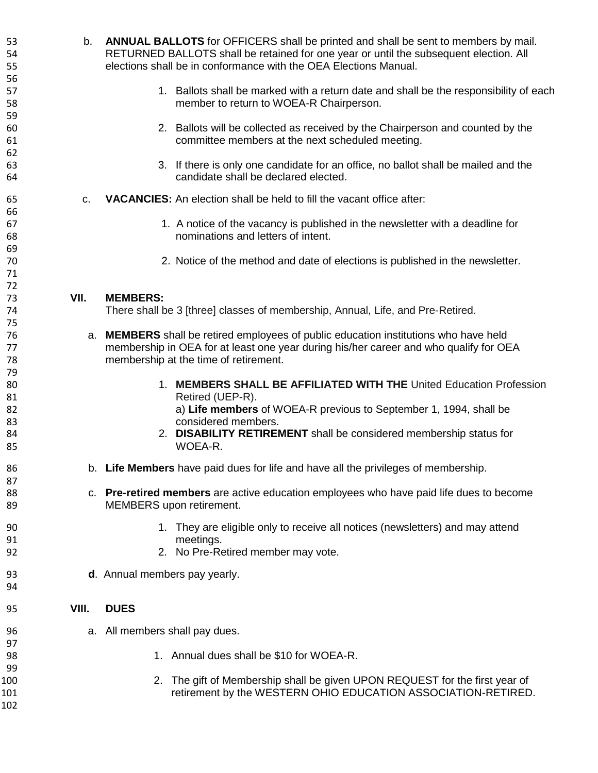| 53<br>54       | b.    | <b>ANNUAL BALLOTS</b> for OFFICERS shall be printed and shall be sent to members by mail.<br>RETURNED BALLOTS shall be retained for one year or until the subsequent election. All |
|----------------|-------|------------------------------------------------------------------------------------------------------------------------------------------------------------------------------------|
| 55             |       | elections shall be in conformance with the OEA Elections Manual.                                                                                                                   |
| 56<br>57       |       | 1. Ballots shall be marked with a return date and shall be the responsibility of each                                                                                              |
| 58             |       | member to return to WOEA-R Chairperson.                                                                                                                                            |
| 59<br>60<br>61 |       | 2. Ballots will be collected as received by the Chairperson and counted by the<br>committee members at the next scheduled meeting.                                                 |
| 62<br>63<br>64 |       | 3. If there is only one candidate for an office, no ballot shall be mailed and the<br>candidate shall be declared elected.                                                         |
|                |       |                                                                                                                                                                                    |
| 65             | C.    | <b>VACANCIES:</b> An election shall be held to fill the vacant office after:                                                                                                       |
| 66<br>67<br>68 |       | 1. A notice of the vacancy is published in the newsletter with a deadline for<br>nominations and letters of intent.                                                                |
| 69<br>70<br>71 |       | 2. Notice of the method and date of elections is published in the newsletter.                                                                                                      |
| 72             |       |                                                                                                                                                                                    |
| 73             | VII.  | <b>MEMBERS:</b>                                                                                                                                                                    |
| 74             |       | There shall be 3 [three] classes of membership, Annual, Life, and Pre-Retired.                                                                                                     |
| 75             |       |                                                                                                                                                                                    |
| 76             |       | a. MEMBERS shall be retired employees of public education institutions who have held                                                                                               |
| 77             |       | membership in OEA for at least one year during his/her career and who qualify for OEA                                                                                              |
| 78             |       | membership at the time of retirement.                                                                                                                                              |
| 79             |       |                                                                                                                                                                                    |
| 80             |       | 1. MEMBERS SHALL BE AFFILIATED WITH THE United Education Profession                                                                                                                |
| 81             |       | Retired (UEP-R).                                                                                                                                                                   |
| 82             |       | a) Life members of WOEA-R previous to September 1, 1994, shall be                                                                                                                  |
| 83             |       | considered members.                                                                                                                                                                |
| 84             |       | 2. DISABILITY RETIREMENT shall be considered membership status for                                                                                                                 |
| 85             |       | WOEA-R.                                                                                                                                                                            |
| 86<br>87       | b.    | Life Members have paid dues for life and have all the privileges of membership.                                                                                                    |
| 88             |       | c. Pre-retired members are active education employees who have paid life dues to become                                                                                            |
| 89             |       | MEMBERS upon retirement.                                                                                                                                                           |
| 90             |       | 1. They are eligible only to receive all notices (newsletters) and may attend                                                                                                      |
| 91             |       | meetings.                                                                                                                                                                          |
| 92             |       | 2. No Pre-Retired member may vote.                                                                                                                                                 |
| 93<br>94       |       | d. Annual members pay yearly.                                                                                                                                                      |
| 95             | VIII. | <b>DUES</b>                                                                                                                                                                        |
| 96             |       | a. All members shall pay dues.                                                                                                                                                     |
| 97             |       |                                                                                                                                                                                    |
| 98             |       | 1. Annual dues shall be \$10 for WOEA-R.                                                                                                                                           |
| 99             |       |                                                                                                                                                                                    |
| 100            |       | 2. The gift of Membership shall be given UPON REQUEST for the first year of                                                                                                        |
| 101            |       | retirement by the WESTERN OHIO EDUCATION ASSOCIATION-RETIRED.                                                                                                                      |
| 102            |       |                                                                                                                                                                                    |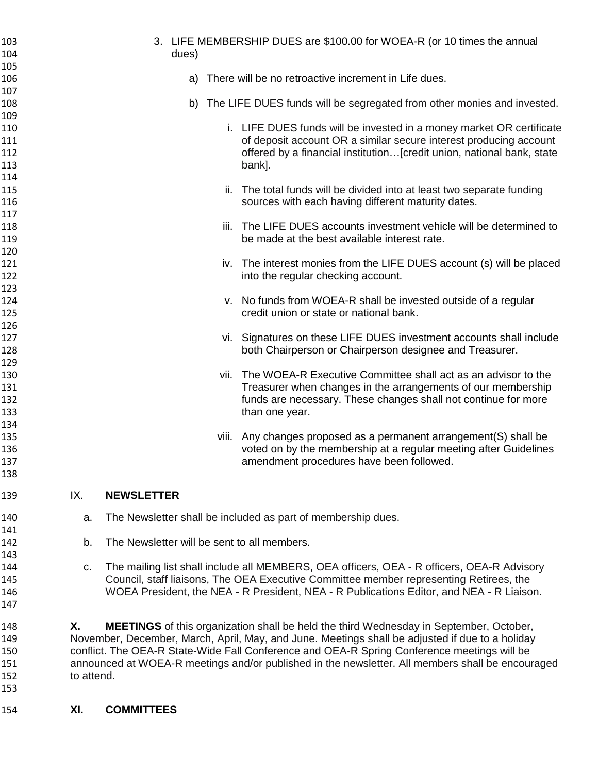| 103<br>104 |                                                                                             | 3. LIFE MEMBERSHIP DUES are \$100.00 for WOEA-R (or 10 times the annual<br>dues)                 |  |
|------------|---------------------------------------------------------------------------------------------|--------------------------------------------------------------------------------------------------|--|
| 105        |                                                                                             |                                                                                                  |  |
|            |                                                                                             | a) There will be no retroactive increment in Life dues.                                          |  |
| 106        |                                                                                             |                                                                                                  |  |
| 107        |                                                                                             |                                                                                                  |  |
| 108        |                                                                                             | b) The LIFE DUES funds will be segregated from other monies and invested.                        |  |
| 109        |                                                                                             |                                                                                                  |  |
| 110        |                                                                                             | i. LIFE DUES funds will be invested in a money market OR certificate                             |  |
| 111        |                                                                                             | of deposit account OR a similar secure interest producing account                                |  |
| 112        |                                                                                             | offered by a financial institution [credit union, national bank, state                           |  |
| 113        |                                                                                             | bank].                                                                                           |  |
| 114        |                                                                                             |                                                                                                  |  |
| 115        |                                                                                             | ii. The total funds will be divided into at least two separate funding                           |  |
| 116        |                                                                                             | sources with each having different maturity dates.                                               |  |
| 117        |                                                                                             |                                                                                                  |  |
|            |                                                                                             | The LIFE DUES accounts investment vehicle will be determined to                                  |  |
| 118        |                                                                                             | Ш.                                                                                               |  |
| 119        |                                                                                             | be made at the best available interest rate.                                                     |  |
| 120        |                                                                                             |                                                                                                  |  |
| 121        |                                                                                             | iv. The interest monies from the LIFE DUES account (s) will be placed                            |  |
| 122        |                                                                                             | into the regular checking account.                                                               |  |
| 123        |                                                                                             |                                                                                                  |  |
| 124        |                                                                                             | v. No funds from WOEA-R shall be invested outside of a regular                                   |  |
| 125        |                                                                                             | credit union or state or national bank.                                                          |  |
| 126        |                                                                                             |                                                                                                  |  |
| 127        |                                                                                             | vi. Signatures on these LIFE DUES investment accounts shall include                              |  |
| 128        |                                                                                             | both Chairperson or Chairperson designee and Treasurer.                                          |  |
| 129        |                                                                                             |                                                                                                  |  |
| 130        |                                                                                             | The WOEA-R Executive Committee shall act as an advisor to the<br>vii.                            |  |
| 131        |                                                                                             |                                                                                                  |  |
|            |                                                                                             | Treasurer when changes in the arrangements of our membership                                     |  |
| 132        |                                                                                             | funds are necessary. These changes shall not continue for more                                   |  |
| 133        |                                                                                             | than one year.                                                                                   |  |
| 134        |                                                                                             |                                                                                                  |  |
| 135        |                                                                                             | viii. Any changes proposed as a permanent arrangement(S) shall be                                |  |
| 136        |                                                                                             | voted on by the membership at a regular meeting after Guidelines                                 |  |
| 137        |                                                                                             | amendment procedures have been followed.                                                         |  |
| 138        |                                                                                             |                                                                                                  |  |
| 139        | IX.                                                                                         | <b>NEWSLETTER</b>                                                                                |  |
| 140        | a.                                                                                          | The Newsletter shall be included as part of membership dues.                                     |  |
|            |                                                                                             |                                                                                                  |  |
| 141        |                                                                                             |                                                                                                  |  |
| 142        | b.                                                                                          | The Newsletter will be sent to all members.                                                      |  |
| 143        |                                                                                             |                                                                                                  |  |
| 144        | C.                                                                                          | The mailing list shall include all MEMBERS, OEA officers, OEA - R officers, OEA-R Advisory       |  |
| 145        |                                                                                             | Council, staff liaisons, The OEA Executive Committee member representing Retirees, the           |  |
| 146        |                                                                                             | WOEA President, the NEA - R President, NEA - R Publications Editor, and NEA - R Liaison.         |  |
| 147        |                                                                                             |                                                                                                  |  |
|            |                                                                                             |                                                                                                  |  |
| 148        | Χ.                                                                                          | <b>MEETINGS</b> of this organization shall be held the third Wednesday in September, October,    |  |
| 149        |                                                                                             | November, December, March, April, May, and June. Meetings shall be adjusted if due to a holiday  |  |
| 150        | conflict. The OEA-R State-Wide Fall Conference and OEA-R Spring Conference meetings will be |                                                                                                  |  |
| 151        |                                                                                             | announced at WOEA-R meetings and/or published in the newsletter. All members shall be encouraged |  |
| 152        | to attend.                                                                                  |                                                                                                  |  |
| 153        |                                                                                             |                                                                                                  |  |
|            |                                                                                             |                                                                                                  |  |
|            |                                                                                             |                                                                                                  |  |

## **XI. COMMITTEES**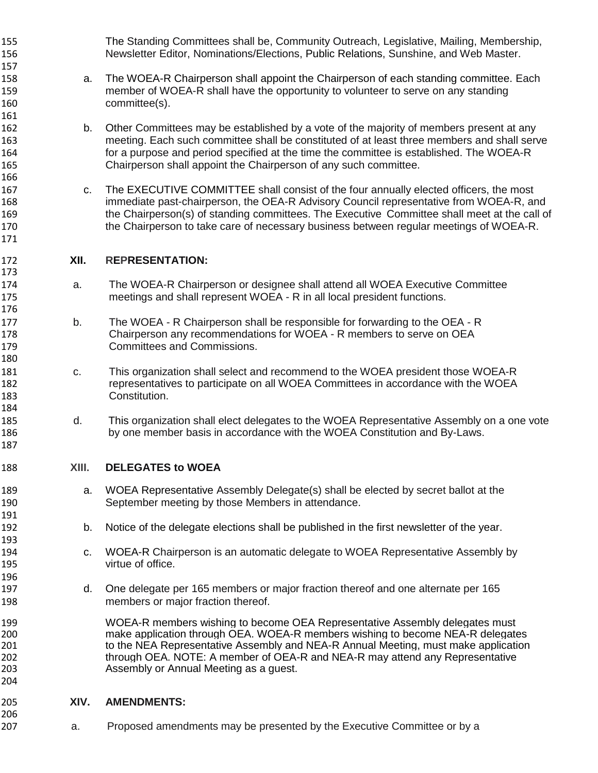| 156                                    |       | Newsletter Editor, Nominations/Elections, Public Relations, Sunshine, and Web Master.                                                                                                                                                                                                                                                                                         |
|----------------------------------------|-------|-------------------------------------------------------------------------------------------------------------------------------------------------------------------------------------------------------------------------------------------------------------------------------------------------------------------------------------------------------------------------------|
| 157<br>158<br>159<br>160               | a.    | The WOEA-R Chairperson shall appoint the Chairperson of each standing committee. Each<br>member of WOEA-R shall have the opportunity to volunteer to serve on any standing<br>committee(s).                                                                                                                                                                                   |
| 161<br>162<br>163<br>164<br>165        | b.    | Other Committees may be established by a vote of the majority of members present at any<br>meeting. Each such committee shall be constituted of at least three members and shall serve<br>for a purpose and period specified at the time the committee is established. The WOEA-R<br>Chairperson shall appoint the Chairperson of any such committee.                         |
| 166<br>167<br>168<br>169<br>170<br>171 | C.    | The EXECUTIVE COMMITTEE shall consist of the four annually elected officers, the most<br>immediate past-chairperson, the OEA-R Advisory Council representative from WOEA-R, and<br>the Chairperson(s) of standing committees. The Executive Committee shall meet at the call of<br>the Chairperson to take care of necessary business between regular meetings of WOEA-R.     |
| 172                                    | XII.  | <b>REPRESENTATION:</b>                                                                                                                                                                                                                                                                                                                                                        |
| 173<br>174<br>175<br>176               | a.    | The WOEA-R Chairperson or designee shall attend all WOEA Executive Committee<br>meetings and shall represent WOEA - R in all local president functions.                                                                                                                                                                                                                       |
| 177<br>178<br>179<br>180               | b.    | The WOEA - R Chairperson shall be responsible for forwarding to the OEA - R<br>Chairperson any recommendations for WOEA - R members to serve on OEA<br><b>Committees and Commissions.</b>                                                                                                                                                                                     |
| 181<br>182<br>183                      | C.    | This organization shall select and recommend to the WOEA president those WOEA-R<br>representatives to participate on all WOEA Committees in accordance with the WOEA<br>Constitution.                                                                                                                                                                                         |
| 184<br>185<br>186<br>187               | d.    | This organization shall elect delegates to the WOEA Representative Assembly on a one vote<br>by one member basis in accordance with the WOEA Constitution and By-Laws.                                                                                                                                                                                                        |
| 188                                    | XIII. | <b>DELEGATES to WOEA</b>                                                                                                                                                                                                                                                                                                                                                      |
| 189<br>190                             | a.    | WOEA Representative Assembly Delegate(s) shall be elected by secret ballot at the<br>September meeting by those Members in attendance.                                                                                                                                                                                                                                        |
| 191<br>192                             | b.    | Notice of the delegate elections shall be published in the first newsletter of the year.                                                                                                                                                                                                                                                                                      |
| 193<br>194<br>195<br>196               | C.    | WOEA-R Chairperson is an automatic delegate to WOEA Representative Assembly by<br>virtue of office.                                                                                                                                                                                                                                                                           |
| 197<br>198                             | d.    | One delegate per 165 members or major fraction thereof and one alternate per 165<br>members or major fraction thereof.                                                                                                                                                                                                                                                        |
| 199<br>200<br>201<br>202<br>203<br>204 |       | WOEA-R members wishing to become OEA Representative Assembly delegates must<br>make application through OEA. WOEA-R members wishing to become NEA-R delegates<br>to the NEA Representative Assembly and NEA-R Annual Meeting, must make application<br>through OEA. NOTE: A member of OEA-R and NEA-R may attend any Representative<br>Assembly or Annual Meeting as a guest. |
| 205<br>206                             | XIV.  | <b>AMENDMENTS:</b>                                                                                                                                                                                                                                                                                                                                                            |

The Standing Committees shall be, Community Outreach, Legislative, Mailing, Membership,

a. Proposed amendments may be presented by the Executive Committee or by a